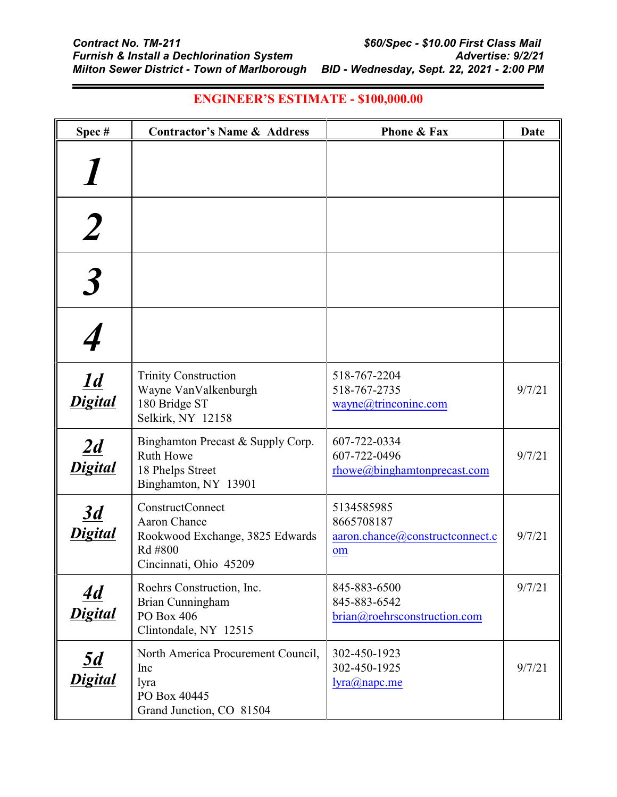| Spec#                                  | <b>Contractor's Name &amp; Address</b>                                                                          | <b>Phone &amp; Fax</b>                                            | <b>Date</b> |
|----------------------------------------|-----------------------------------------------------------------------------------------------------------------|-------------------------------------------------------------------|-------------|
|                                        |                                                                                                                 |                                                                   |             |
|                                        |                                                                                                                 |                                                                   |             |
|                                        |                                                                                                                 |                                                                   |             |
|                                        |                                                                                                                 |                                                                   |             |
| $\overline{\underline{1d}}$<br>Digital | <b>Trinity Construction</b><br>Wayne VanValkenburgh<br>180 Bridge ST<br>Selkirk, NY 12158                       | 518-767-2204<br>518-767-2735<br>wayne@trinconinc.com              | 9/7/21      |
| 2d<br>Digital                          | Binghamton Precast & Supply Corp.<br>Ruth Howe<br>18 Phelps Street<br>Binghamton, NY 13901                      | 607-722-0334<br>607-722-0496<br>rhowe@binghamtonprecast.com       | 9/7/21      |
| $\overline{3d}$<br>ligital             | <b>ConstructConnect</b><br>Aaron Chance<br>Rookwood Exchange, 3825 Edwards<br>Rd #800<br>Cincinnati, Ohio 45209 | 5134585985<br>8665708187<br>aaron.chance@constructconnect.c<br>om | 9/7/21      |
| <u>4d</u><br>Digital                   | Roehrs Construction, Inc.<br>Brian Cunningham<br>PO Box 406<br>Clintondale, NY 12515                            | 845-883-6500<br>845-883-6542<br>brian@roehrsconstruction.com      | 9/7/21      |
| $\underline{5d}$<br>Digital            | North America Procurement Council,<br>Inc<br>lyra<br>PO Box 40445<br>Grand Junction, CO 81504                   | 302-450-1923<br>302-450-1925<br>lyra@napc.me                      | 9/7/21      |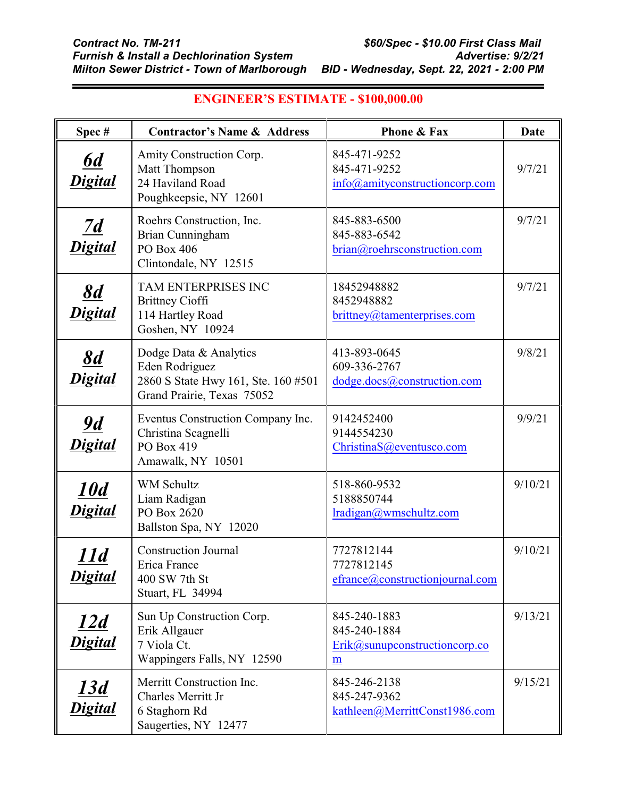| Spec#                                    | <b>Contractor's Name &amp; Address</b>                                                                        | <b>Phone &amp; Fax</b>                                               | Date    |
|------------------------------------------|---------------------------------------------------------------------------------------------------------------|----------------------------------------------------------------------|---------|
| $\underline{6d}$<br>Digital              | Amity Construction Corp.<br>Matt Thompson<br>24 Haviland Road<br>Poughkeepsie, NY 12601                       | 845-471-9252<br>845-471-9252<br>info@amityconstructioncorp.com       | 9/7/21  |
| $\overline{2d}$<br><b>Digital</b>        | Roehrs Construction, Inc.<br>Brian Cunningham<br>PO Box 406<br>Clintondale, NY 12515                          | 845-883-6500<br>845-883-6542<br>brian@roehrsconstruction.com         | 9/7/21  |
| $\frac{8d}{4}$<br>Digital                | TAM ENTERPRISES INC<br><b>Brittney Cioffi</b><br>114 Hartley Road<br>Goshen, NY 10924                         | 18452948882<br>8452948882<br>brittney@tamenterprises.com             | 9/7/21  |
| $\underline{\delta d}$<br><b>Digital</b> | Dodge Data & Analytics<br>Eden Rodriguez<br>2860 S State Hwy 161, Ste. 160 #501<br>Grand Prairie, Texas 75052 | 413-893-0645<br>609-336-2767<br>dodge.docs@construction.com          | 9/8/21  |
| <u>9d</u><br><b>Digital</b>              | Eventus Construction Company Inc.<br>Christina Scagnelli<br>PO Box 419<br>Amawalk, NY 10501                   | 9142452400<br>9144554230<br>ChristinaS@eventusco.com                 | 9/9/21  |
| <u><b>10d</b></u><br>Digital             | <b>WM Schultz</b><br>Liam Radigan<br>PO Box 2620<br>Ballston Spa, NY 12020                                    | 518-860-9532<br>5188850744<br>lradigan@wmschultz.com                 | 9/10/21 |
| 11d<br><u>Digital</u>                    | <b>Construction Journal</b><br>Erica France<br>400 SW 7th St<br>Stuart, FL 34994                              | 7727812144<br>7727812145<br>efrance@constructionjournal.com          | 9/10/21 |
| <u>12d</u><br><b>Digital</b>             | Sun Up Construction Corp.<br>Erik Allgauer<br>7 Viola Ct.<br>Wappingers Falls, NY 12590                       | 845-240-1883<br>845-240-1884<br>$Erik@sum\n    constructioncorp.com$ | 9/13/21 |
| <u>13d</u><br>Digital                    | Merritt Construction Inc.<br>Charles Merritt Jr<br>6 Staghorn Rd<br>Saugerties, NY 12477                      | 845-246-2138<br>845-247-9362<br>kathleen@MerrittConst1986.com        | 9/15/21 |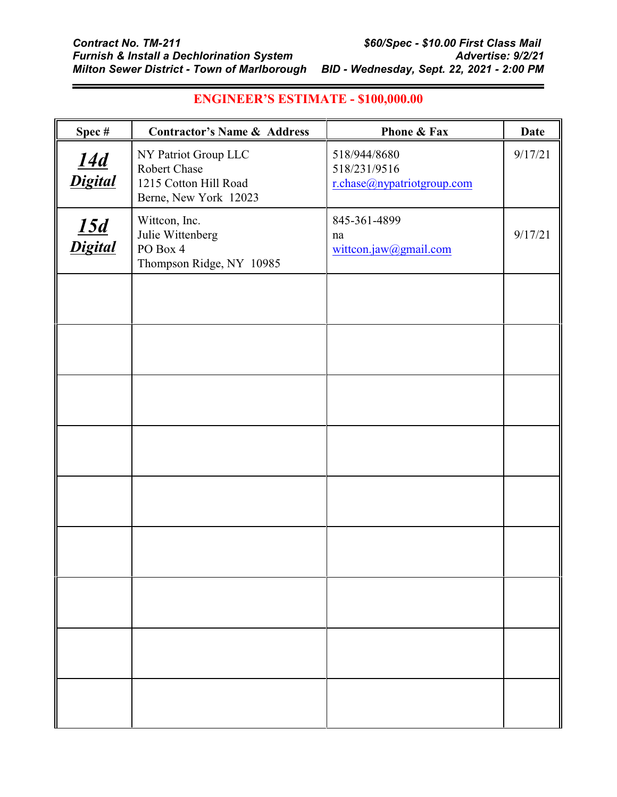| Spec#                        | <b>Contractor's Name &amp; Address</b>                                                 | Phone & Fax                                                | <b>Date</b> |
|------------------------------|----------------------------------------------------------------------------------------|------------------------------------------------------------|-------------|
| <u>14d</u><br>Digital        | NY Patriot Group LLC<br>Robert Chase<br>1215 Cotton Hill Road<br>Berne, New York 12023 | 518/944/8680<br>518/231/9516<br>r.chase@nypatriotgroup.com | 9/17/21     |
| $\frac{15d}{\text{Digital}}$ | Wittcon, Inc.<br>Julie Wittenberg<br>PO Box 4<br>Thompson Ridge, NY 10985              | 845-361-4899<br>na<br>wittcon.jaw@gmail.com                | 9/17/21     |
|                              |                                                                                        |                                                            |             |
|                              |                                                                                        |                                                            |             |
|                              |                                                                                        |                                                            |             |
|                              |                                                                                        |                                                            |             |
|                              |                                                                                        |                                                            |             |
|                              |                                                                                        |                                                            |             |
|                              |                                                                                        |                                                            |             |
|                              |                                                                                        |                                                            |             |
|                              |                                                                                        |                                                            |             |